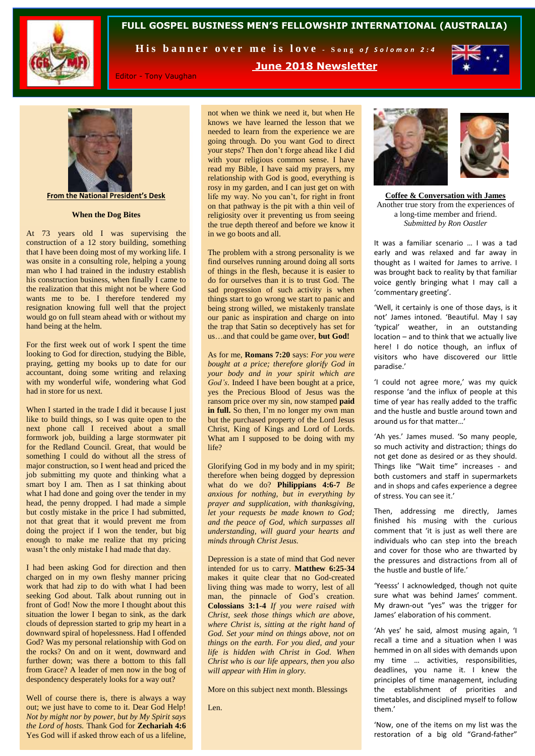

# **FULL GOSPEL BUSINESS MEN'S FELLOWSHIP INTERNATIONAL (AUSTRALIA)**

His banner over me is love - Song of Solomon 2:4



Editor - Tony Vaughan

**June 2018 Newsletter**



**From the National President's Desk**

#### **When the Dog Bites**

At 73 years old I was supervising the construction of a 12 story building, something that I have been doing most of my working life. I was onsite in a consulting role, helping a young man who I had trained in the industry establish his construction business, when finally I came to the realization that this might not be where God wants me to be. I therefore tendered my resignation knowing full well that the project would go on full steam ahead with or without my hand being at the helm.

For the first week out of work I spent the time looking to God for direction, studying the Bible, praying, getting my books up to date for our accountant, doing some writing and relaxing with my wonderful wife, wondering what God had in store for us next.

When I started in the trade I did it because I just like to build things, so I was quite open to the next phone call I received about a small formwork job, building a large stormwater pit for the Redland Council. Great, that would be something I could do without all the stress of major construction, so I went head and priced the job submitting my quote and thinking what a smart boy I am. Then as I sat thinking about what I had done and going over the tender in my head, the penny dropped. I had made a simple but costly mistake in the price I had submitted, not that great that it would prevent me from doing the project if I won the tender, but big enough to make me realize that my pricing wasn't the only mistake I had made that day.

I had been asking God for direction and then charged on in my own fleshy manner pricing work that had zip to do with what I had been seeking God about. Talk about running out in front of God! Now the more I thought about this situation the lower I began to sink, as the dark clouds of depression started to grip my heart in a downward spiral of hopelessness. Had I offended God? Was my personal relationship with God on the rocks? On and on it went, downward and further down; was there a bottom to this fall from Grace? A leader of men now in the bog of despondency desperately looks for a way out?

Well of course there is, there is always a way out; we just have to come to it. Dear God Help! *Not by might nor by power, but by My Spirit says the Lord of hosts.* Thank God for **Zechariah 4:6** Yes God will if asked throw each of us a lifeline,

not when we think we need it, but when He knows we have learned the lesson that we needed to learn from the experience we are going through. Do you want God to direct your steps? Then don't forge ahead like I did with your religious common sense. I have read my Bible, I have said my prayers, my relationship with God is good, everything is rosy in my garden, and I can just get on with life my way. No you can't, for right in front on that pathway is the pit with a thin veil of religiosity over it preventing us from seeing the true depth thereof and before we know it in we go boots and all.

The problem with a strong personality is we find ourselves running around doing all sorts of things in the flesh, because it is easier to do for ourselves than it is to trust God. The sad progression of such activity is when things start to go wrong we start to panic and being strong willed, we mistakenly translate our panic as inspiration and charge on into the trap that Satin so deceptively has set for us…and that could be game over, **but God!** 

As for me, **Romans 7:20** says: *For you were bought at a price; therefore glorify God in your body and in your spirit which are God's.* Indeed I have been bought at a price, yes the Precious Blood of Jesus was the ransom price over my sin, now stamped **paid**  in full. So then, I'm no longer my own man but the purchased property of the Lord Jesus Christ, King of Kings and Lord of Lords. What am I supposed to be doing with my life?

Glorifying God in my body and in my spirit; therefore when being dogged by depression what do we do? **Philippians 4:6-7** *Be anxious for nothing, but in everything by prayer and supplication, with thanksgiving, let your requests be made known to God; and the peace of God, which surpasses all understanding, will guard your hearts and minds through Christ Jesus.*

Depression is a state of mind that God never intended for us to carry. **Matthew 6:25-34** makes it quite clear that no God-created living thing was made to worry, lest of all man, the pinnacle of God's creation. **Colossians 3:1-4** *If you were raised with Christ, seek those things which are above, where Christ is, sitting at the right hand of God. Set your mind on things above, not on things on the earth. For you died, and your life is hidden with Christ in God. When Christ who is our life appears, then you also will appear with Him in glory.* 

More on this subject next month. Blessings

Len.



**Coffee & Conversation with James** Another true story from the experiences of a long-time member and friend. *Submitted by Ron Oastler*

It was a familiar scenario … I was a tad early and was relaxed and far away in thought as I waited for James to arrive. I was brought back to reality by that familiar voice gently bringing what I may call a 'commentary greeting'.

'Well, it certainly is one of those days, is it not' James intoned. 'Beautiful. May I say 'typical' weather, in an outstanding location – and to think that we actually live here! I do notice though, an influx of visitors who have discovered our little paradise.'

'I could not agree more,' was my quick response 'and the influx of people at this time of year has really added to the traffic and the hustle and bustle around town and around us for that matter…'

'Ah yes.' James mused. 'So many people, so much activity and distraction; things do not get done as desired or as they should. Things like "Wait time" increases - and both customers and staff in supermarkets and in shops and cafes experience a degree of stress. You can see it.'

Then, addressing me directly, James finished his musing with the curious comment that 'it is just as well there are individuals who can step into the breach and cover for those who are thwarted by the pressures and distractions from all of the hustle and bustle of life.'

'Yeesss' I acknowledged, though not quite sure what was behind James' comment. My drawn-out "yes" was the trigger for James' elaboration of his comment.

'Ah yes' he said, almost musing again, 'I recall a time and a situation when I was hemmed in on all sides with demands upon my time … activities, responsibilities, deadlines, you name it. I knew the principles of time management, including the establishment of priorities and timetables, and disciplined myself to follow them.'

'Now, one of the items on my list was the restoration of a big old "Grand-father"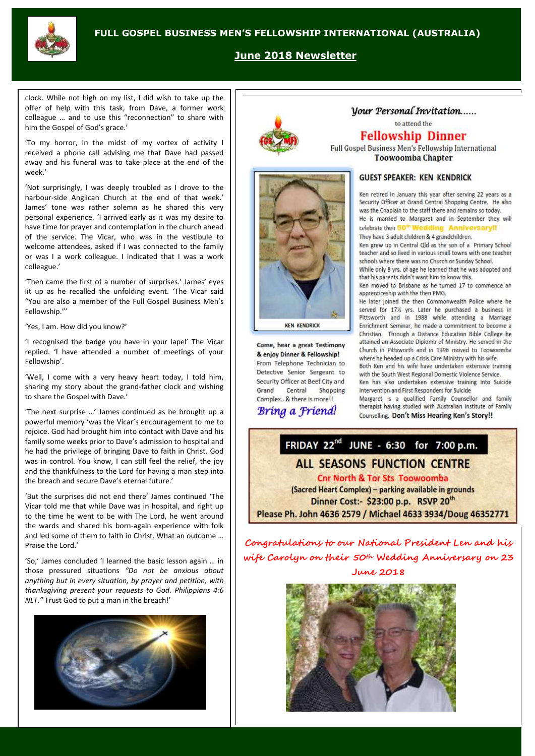

# **June 2018 Newsletter**

clock. While not high on my list, I did wish to take up the offer of help with this task, from Dave, a former work colleague … and to use this "reconnection" to share with him the Gospel of God's grace.'

'To my horror, in the midst of my vortex of activity I received a phone call advising me that Dave had passed away and his funeral was to take place at the end of the week.'

'Not surprisingly, I was deeply troubled as I drove to the harbour-side Anglican Church at the end of that week.' James' tone was rather solemn as he shared this very personal experience. 'I arrived early as it was my desire to have time for prayer and contemplation in the church ahead of the service. The Vicar, who was in the vestibule to welcome attendees, asked if I was connected to the family or was I a work colleague. I indicated that I was a work colleague.'

'Then came the first of a number of surprises.' James' eyes lit up as he recalled the unfolding event. 'The Vicar said "You are also a member of the Full Gospel Business Men's Fellowship."'

'Yes, I am. How did you know?'

'I recognised the badge you have in your lapel' The Vicar replied. 'I have attended a number of meetings of your Fellowship'.

'Well, I come with a very heavy heart today, I told him, sharing my story about the grand-father clock and wishing to share the Gospel with Dave.'

'The next surprise …' James continued as he brought up a powerful memory 'was the Vicar's encouragement to me to rejoice. God had brought him into contact with Dave and his family some weeks prior to Dave's admission to hospital and he had the privilege of bringing Dave to faith in Christ. God was in control. You know, I can still feel the relief, the joy and the thankfulness to the Lord for having a man step into the breach and secure Dave's eternal future.'

'But the surprises did not end there' James continued 'The Vicar told me that while Dave was in hospital, and right up to the time he went to be with The Lord, he went around the wards and shared his born-again experience with folk and led some of them to faith in Christ. What an outcome … Praise the Lord.'

'So,' James concluded 'l learned the basic lesson again … in those pressured situations *"Do not be anxious about anything but in every situation, by prayer and petition, with thanksgiving present your requests to God. Philippians 4:6 NLT."* Trust God to put a man in the breach!'







Come, hear a great Testimony & enjoy Dinner & Fellowship! From Telephone Technician to Detective Senior Sergeant to Security Officer at Beef City and Grand Central Shopping Complex...& there is more!!

# Bring a Friend!

## Vour Personal Invitation...... to attend the

# **Fellowship Dinner**

Full Gospel Business Men's Fellowship International **Toowoomba Chapter** 

## **GUEST SPEAKER: KEN KENDRICK**

Ken retired in January this year after serving 22 years as a Security Officer at Grand Central Shopping Centre. He also was the Chaplain to the staff there and remains so today. He is married to Margaret and in September they will

celebrate their 50<sup>th</sup> Wedding Anniversary!! They have 3 adult children & 4 grandchildren.

Ken grew up in Central Qld as the son of a Primary School teacher and so lived in various small towns with one teacher schools where there was no Church or Sunday School.

While only 8 yrs. of age he learned that he was adopted and that his parents didn't want him to know this.

Ken moved to Brisbane as he turned 17 to commence an apprenticeship with the then PMG.

He later joined the then Commonwealth Police where he served for 17% yrs. Later he purchased a business in Pittsworth and in 1988 while attending a Marriage Enrichment Seminar, he made a commitment to become a Christian. Through a Distance Education Bible College he attained an Associate Diploma of Ministry. He served in the Church in Pittsworth and in 1996 moved to Toowoomba where he headed up a Crisis Care Ministry with his wife.

Both Ken and his wife have undertaken extensive training with the South West Regional Domestic Violence Service Ken has also undertaken extensive training into Suicide Intervention and First Responders for Suicide

Margaret is a qualified Family Counsellor and family therapist having studied with Australian Institute of Family Counselling. Don't Miss Hearing Ken's Story!!



**Congratulations to our National President Len and his wife Carolyn on their 50th Wedding Anniversary on 23 June 2018**

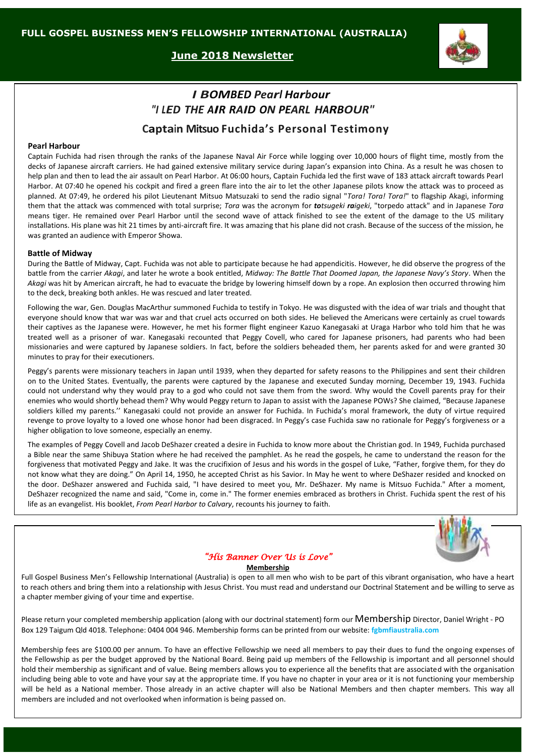**June 2018 Newsletter**



# *I BOMBED Pearl Harbour "I LED THE AIR RAID ON PEARL HARBOUR"* **Captain Mitsuo Fuchida's Personal Testimony**

#### **Pearl Harbour**

Captain Fuchida had risen through the ranks of the Japanese Naval Air Force while logging over 10,000 hours of flight time, mostly from the decks of Japanese aircraft carriers. He had gained extensive military service during Japan's expansion into China. As a result he was chosen to help plan and then to lead the air assault on Pearl Harbor. At 06:00 hours, Captain Fuchida led the first wave of 183 attack aircraft towards Pearl Harbor. At 07:40 he opened his cockpit and fired a green flare into the air to let the other Japanese pilots know the attack was to proceed as planned. At 07:49, he ordered his pilot Lieutenant Mitsuo Matsuzaki to send the radio signal "*Tora! Tora! Tora!*" to flagship Akagi, informing them that the attack was commenced with total surprise; *Tora* was the acronym for *totsugeki raigeki*, "torpedo attack" and in Japanese *Tora* means tiger. He remained over Pearl Harbor until the second wave of attack finished to see the extent of the damage to the US military installations. His plane was hit 21 times by anti-aircraft fire. It was amazing that his plane did not crash. Because of the success of the mission, he was granted an audience with Emperor Showa.

### **Battle of Midway**

During the Battle of Midway, Capt. Fuchida was not able to participate because he had appendicitis. However, he did observe the progress of the battle from the carrier *Akagi*, and later he wrote a book entitled, *Midway: The Battle That Doomed Japan, the Japanese Navy's Story*. When the *Akagi* was hit by American aircraft, he had to evacuate the bridge by lowering himself down by a rope. An explosion then occurred throwing him to the deck, breaking both ankles. He was rescued and later treated.

Following the war, Gen. Douglas MacArthur summoned Fuchida to testify in Tokyo. He was disgusted with the idea of war trials and thought that everyone should know that war was war and that cruel acts occurred on both sides. He believed the Americans were certainly as cruel towards their captives as the Japanese were. However, he met his former flight engineer Kazuo Kanegasaki at Uraga Harbor who told him that he was treated well as a prisoner of war. Kanegasaki recounted that Peggy Covell, who cared for Japanese prisoners, had parents who had been missionaries and were captured by Japanese soldiers. In fact, before the soldiers beheaded them, her parents asked for and were granted 30 minutes to pray for their executioners.

Peggy's parents were missionary teachers in Japan until 1939, when they departed for safety reasons to the Philippines and sent their children on to the United States. Eventually, the parents were captured by the Japanese and executed Sunday morning, December 19, 1943. Fuchida could not understand why they would pray to a god who could not save them from the sword. Why would the Covell parents pray for their enemies who would shortly behead them? Why would Peggy return to Japan to assist with the Japanese POWs? She claimed, "Because Japanese soldiers killed my parents.'' Kanegasaki could not provide an answer for Fuchida. In Fuchida's moral framework, the duty of virtue required revenge to prove loyalty to a loved one whose honor had been disgraced. In Peggy's case Fuchida saw no rationale for Peggy's forgiveness or a higher obligation to love someone, especially an enemy.

The examples of Peggy Covell and Jacob DeShazer created a desire in Fuchida to know more about the Christian god. In 1949, Fuchida purchased a Bible near the same Shibuya Station where he had received the pamphlet. As he read the gospels, he came to understand the reason for the forgiveness that motivated Peggy and Jake. It was the crucifixion of Jesus and his words in the gospel of Luke, "Father, forgive them, for they do not know what they are doing." On April 14, 1950, he accepted Christ as his Savior. In May he went to where DeShazer resided and knocked on the door. DeShazer answered and Fuchida said, "I have desired to meet you, Mr. DeShazer. My name is Mitsuo Fuchida." After a moment, DeShazer recognized the name and said, "Come in, come in." The former enemies embraced as brothers in Christ. Fuchida spent the rest of his life as an evangelist. His booklet, *From Pearl Harbor to Calvary*, recounts his journey to faith.



## *"His Banner Over Us is Love"*

#### **Membership**

Full Gospel Business Men's Fellowship International (Australia) is open to all men who wish to be part of this vibrant organisation, who have a heart to reach others and bring them into a relationship with Jesus Christ. You must read and understand our Doctrinal Statement and be willing to serve as a chapter member giving of your time and expertise.

Please return your completed membership application (along with our doctrinal statement) form our Membership Director, Daniel Wright - PO Box 129 Taigum Qld 4018. Telephone: 0404 004 946. Membership forms can be printed from our website: **fgbmfiaustralia.com**

Membership fees are \$100.00 per annum. To have an effective Fellowship we need all members to pay their dues to fund the ongoing expenses of the Fellowship as per the budget approved by the National Board. Being paid up members of the Fellowship is important and all personnel should hold their membership as significant and of value. Being members allows you to experience all the benefits that are associated with the organisation including being able to vote and have your say at the appropriate time. If you have no chapter in your area or it is not functioning your membership will be held as a National member. Those already in an active chapter will also be National Members and then chapter members. This way all members are included and not overlooked when information is being passed on.